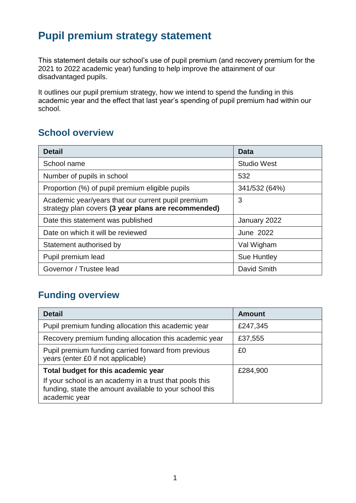## **Pupil premium strategy statement**

This statement details our school's use of pupil premium (and recovery premium for the 2021 to 2022 academic year) funding to help improve the attainment of our disadvantaged pupils.

It outlines our pupil premium strategy, how we intend to spend the funding in this academic year and the effect that last year's spending of pupil premium had within our school.

## **School overview**

| <b>Detail</b>                                                                                             | <b>Data</b>        |
|-----------------------------------------------------------------------------------------------------------|--------------------|
| School name                                                                                               | <b>Studio West</b> |
| Number of pupils in school                                                                                | 532                |
| Proportion (%) of pupil premium eligible pupils                                                           | 341/532 (64%)      |
| Academic year/years that our current pupil premium<br>strategy plan covers (3 year plans are recommended) | 3                  |
| Date this statement was published                                                                         | January 2022       |
| Date on which it will be reviewed                                                                         | <b>June 2022</b>   |
| Statement authorised by                                                                                   | Val Wigham         |
| Pupil premium lead                                                                                        | <b>Sue Huntley</b> |
| Governor / Trustee lead                                                                                   | David Smith        |

## **Funding overview**

| <b>Detail</b>                                                                                                                       | <b>Amount</b> |
|-------------------------------------------------------------------------------------------------------------------------------------|---------------|
| Pupil premium funding allocation this academic year                                                                                 | £247,345      |
| Recovery premium funding allocation this academic year                                                                              | £37,555       |
| Pupil premium funding carried forward from previous<br>years (enter £0 if not applicable)                                           | £0            |
| Total budget for this academic year                                                                                                 | £284,900      |
| If your school is an academy in a trust that pools this<br>funding, state the amount available to your school this<br>academic year |               |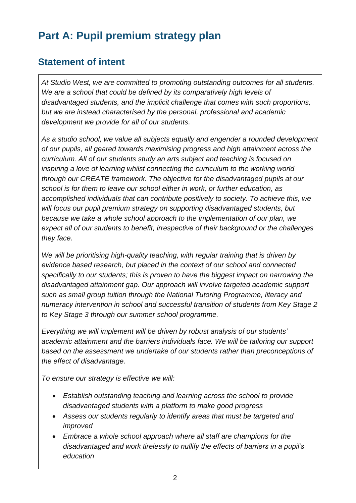# **Part A: Pupil premium strategy plan**

## **Statement of intent**

*At Studio West, we are committed to promoting outstanding outcomes for all students. We are a school that could be defined by its comparatively high levels of disadvantaged students, and the implicit challenge that comes with such proportions, but we are instead characterised by the personal, professional and academic development we provide for all of our students.*

*As a studio school, we value all subjects equally and engender a rounded development of our pupils, all geared towards maximising progress and high attainment across the curriculum. All of our students study an arts subject and teaching is focused on inspiring a love of learning whilst connecting the curriculum to the working world through our CREATE framework. The objective for the disadvantaged pupils at our school is for them to leave our school either in work, or further education, as accomplished individuals that can contribute positively to society. To achieve this, we will focus our pupil premium strategy on supporting disadvantaged students, but because we take a whole school approach to the implementation of our plan, we expect all of our students to benefit, irrespective of their background or the challenges they face.*

*We will be prioritising high-quality teaching, with regular training that is driven by evidence based research, but placed in the context of our school and connected specifically to our students; this is proven to have the biggest impact on narrowing the disadvantaged attainment gap. Our approach will involve targeted academic support such as small group tuition through the National Tutoring Programme, literacy and numeracy intervention in school and successful transition of students from Key Stage 2 to Key Stage 3 through our summer school programme.* 

*Everything we will implement will be driven by robust analysis of our students' academic attainment and the barriers individuals face. We will be tailoring our support based on the assessment we undertake of our students rather than preconceptions of the effect of disadvantage.*

*To ensure our strategy is effective we will:*

- *Establish outstanding teaching and learning across the school to provide disadvantaged students with a platform to make good progress*
- *Assess our students regularly to identify areas that must be targeted and improved*
- *Embrace a whole school approach where all staff are champions for the disadvantaged and work tirelessly to nullify the effects of barriers in a pupil's education*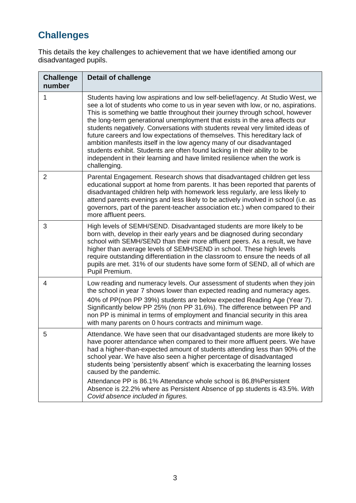## **Challenges**

This details the key challenges to achievement that we have identified among our disadvantaged pupils.

| <b>Challenge</b><br>number | <b>Detail of challenge</b>                                                                                                                                                                                                                                                                                                                                                                                                                                                                                                                                                                                                                                                                                                                           |
|----------------------------|------------------------------------------------------------------------------------------------------------------------------------------------------------------------------------------------------------------------------------------------------------------------------------------------------------------------------------------------------------------------------------------------------------------------------------------------------------------------------------------------------------------------------------------------------------------------------------------------------------------------------------------------------------------------------------------------------------------------------------------------------|
| 1                          | Students having low aspirations and low self-belief/agency. At Studio West, we<br>see a lot of students who come to us in year seven with low, or no, aspirations.<br>This is something we battle throughout their journey through school, however<br>the long-term generational unemployment that exists in the area affects our<br>students negatively. Conversations with students reveal very limited ideas of<br>future careers and low expectations of themselves. This hereditary lack of<br>ambition manifests itself in the low agency many of our disadvantaged<br>students exhibit. Students are often found lacking in their ability to be<br>independent in their learning and have limited resilience when the work is<br>challenging. |
| $\overline{2}$             | Parental Engagement. Research shows that disadvantaged children get less<br>educational support at home from parents. It has been reported that parents of<br>disadvantaged children help with homework less regularly, are less likely to<br>attend parents evenings and less likely to be actively involved in school (i.e. as<br>governors, part of the parent-teacher association etc.) when compared to their<br>more affluent peers.                                                                                                                                                                                                                                                                                                           |
| 3                          | High levels of SEMH/SEND. Disadvantaged students are more likely to be<br>born with, develop in their early years and be diagnosed during secondary<br>school with SEMH/SEND than their more affluent peers. As a result, we have<br>higher than average levels of SEMH/SEND in school. These high levels<br>require outstanding differentiation in the classroom to ensure the needs of all<br>pupils are met. 31% of our students have some form of SEND, all of which are<br>Pupil Premium.                                                                                                                                                                                                                                                       |
| 4                          | Low reading and numeracy levels. Our assessment of students when they join<br>the school in year 7 shows lower than expected reading and numeracy ages.<br>40% of PP(non PP 39%) students are below expected Reading Age (Year 7).<br>Significantly below PP 25% (non PP 31.6%). The difference between PP and<br>non PP is minimal in terms of employment and financial security in this area<br>with many parents on 0 hours contracts and minimum wage.                                                                                                                                                                                                                                                                                           |
| 5                          | Attendance. We have seen that our disadvantaged students are more likely to<br>have poorer attendance when compared to their more affluent peers. We have<br>had a higher-than-expected amount of students attending less than 90% of the<br>school year. We have also seen a higher percentage of disadvantaged<br>students being 'persistently absent' which is exacerbating the learning losses<br>caused by the pandemic.                                                                                                                                                                                                                                                                                                                        |
|                            | Attendance PP is 86.1% Attendance whole school is 86.8% Persistent<br>Absence is 22.2% where as Persistent Absence of pp students is 43.5%. With<br>Covid absence included in figures.                                                                                                                                                                                                                                                                                                                                                                                                                                                                                                                                                               |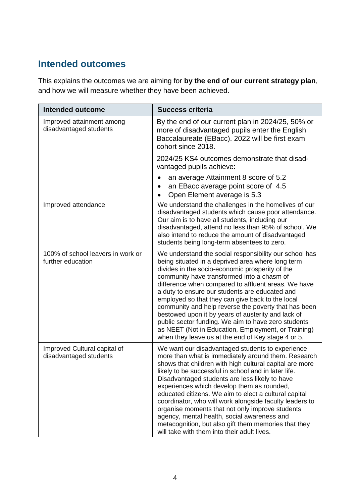### **Intended outcomes**

This explains the outcomes we are aiming for **by the end of our current strategy plan**, and how we will measure whether they have been achieved.

| <b>Intended outcome</b>                                | <b>Success criteria</b>                                                                                                                                                                                                                                                                                                                                                                                                                                                                                                                                                                                                                                     |
|--------------------------------------------------------|-------------------------------------------------------------------------------------------------------------------------------------------------------------------------------------------------------------------------------------------------------------------------------------------------------------------------------------------------------------------------------------------------------------------------------------------------------------------------------------------------------------------------------------------------------------------------------------------------------------------------------------------------------------|
| Improved attainment among<br>disadvantaged students    | By the end of our current plan in 2024/25, 50% or<br>more of disadvantaged pupils enter the English<br>Baccalaureate (EBacc). 2022 will be first exam<br>cohort since 2018.                                                                                                                                                                                                                                                                                                                                                                                                                                                                                 |
|                                                        | 2024/25 KS4 outcomes demonstrate that disad-<br>vantaged pupils achieve:                                                                                                                                                                                                                                                                                                                                                                                                                                                                                                                                                                                    |
|                                                        | an average Attainment 8 score of 5.2<br>an EBacc average point score of 4.5<br>Open Element average is 5.3                                                                                                                                                                                                                                                                                                                                                                                                                                                                                                                                                  |
| Improved attendance                                    | We understand the challenges in the homelives of our<br>disadvantaged students which cause poor attendance.<br>Our aim is to have all students, including our<br>disadvantaged, attend no less than 95% of school. We<br>also intend to reduce the amount of disadvantaged<br>students being long-term absentees to zero.                                                                                                                                                                                                                                                                                                                                   |
| 100% of school leavers in work or<br>further education | We understand the social responsibility our school has<br>being situated in a deprived area where long term<br>divides in the socio-economic prosperity of the<br>community have transformed into a chasm of<br>difference when compared to affluent areas. We have<br>a duty to ensure our students are educated and<br>employed so that they can give back to the local<br>community and help reverse the poverty that has been<br>bestowed upon it by years of austerity and lack of<br>public sector funding. We aim to have zero students<br>as NEET (Not in Education, Employment, or Training)<br>when they leave us at the end of Key stage 4 or 5. |
| Improved Cultural capital of<br>disadvantaged students | We want our disadvantaged students to experience<br>more than what is immediately around them. Research<br>shows that children with high cultural capital are more<br>likely to be successful in school and in later life.<br>Disadvantaged students are less likely to have<br>experiences which develop them as rounded,<br>educated citizens. We aim to elect a cultural capital<br>coordinator, who will work alongside faculty leaders to<br>organise moments that not only improve students<br>agency, mental health, social awareness and<br>metacognition, but also gift them memories that they<br>will take with them into their adult lives.     |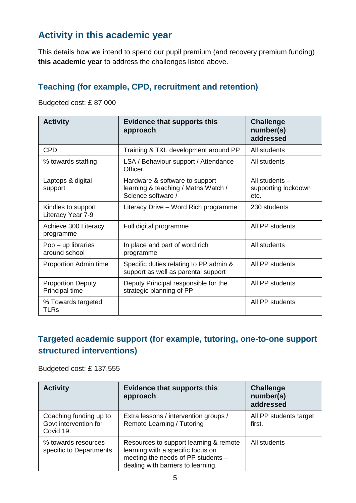### **Activity in this academic year**

This details how we intend to spend our pupil premium (and recovery premium funding) **this academic year** to address the challenges listed above.

#### **Teaching (for example, CPD, recruitment and retention)**

Budgeted cost: £ 87,000

| <b>Activity</b>                            | <b>Evidence that supports this</b><br>approach                                              | <b>Challenge</b><br>number(s)<br>addressed    |
|--------------------------------------------|---------------------------------------------------------------------------------------------|-----------------------------------------------|
| <b>CPD</b>                                 | Training & T&L development around PP                                                        | All students                                  |
| % towards staffing                         | LSA / Behaviour support / Attendance<br>Officer                                             | All students                                  |
| Laptops & digital<br>support               | Hardware & software to support<br>learning & teaching / Maths Watch /<br>Science software / | All students -<br>supporting lockdown<br>etc. |
| Kindles to support<br>Literacy Year 7-9    | Literacy Drive – Word Rich programme                                                        | 230 students                                  |
| Achieve 300 Literacy<br>programme          | Full digital programme                                                                      | All PP students                               |
| $Pop - up$ libraries<br>around school      | In place and part of word rich<br>programme                                                 | All students                                  |
| Proportion Admin time                      | Specific duties relating to PP admin &<br>support as well as parental support               | All PP students                               |
| <b>Proportion Deputy</b><br>Principal time | Deputy Principal responsible for the<br>strategic planning of PP                            | All PP students                               |
| % Towards targeted<br>TLRs                 |                                                                                             | All PP students                               |

#### **Targeted academic support (for example, tutoring, one-to-one support structured interventions)**

Budgeted cost: £ 137,555

| <b>Activity</b>                                              | <b>Evidence that supports this</b><br>approach                                                                                                          | <b>Challenge</b><br>number(s)<br>addressed |
|--------------------------------------------------------------|---------------------------------------------------------------------------------------------------------------------------------------------------------|--------------------------------------------|
| Coaching funding up to<br>Govt intervention for<br>Covid 19. | Extra lessons / intervention groups /<br>Remote Learning / Tutoring                                                                                     | All PP students target<br>first.           |
| % towards resources<br>specific to Departments               | Resources to support learning & remote<br>learning with a specific focus on<br>meeting the needs of PP students -<br>dealing with barriers to learning. | All students                               |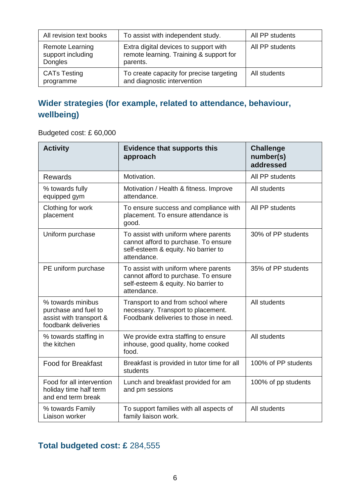| All revision text books                         | To assist with independent study.                                                            | All PP students |
|-------------------------------------------------|----------------------------------------------------------------------------------------------|-----------------|
| Remote Learning<br>support including<br>Dongles | Extra digital devices to support with<br>remote learning. Training & support for<br>parents. | All PP students |
| <b>CATs Testing</b><br>programme                | To create capacity for precise targeting<br>and diagnostic intervention                      | All students    |

## **Wider strategies (for example, related to attendance, behaviour, wellbeing)**

Budgeted cost: £ 60,000

| <b>Activity</b>                                                                             | <b>Evidence that supports this</b><br>approach                                                                                     | <b>Challenge</b><br>number(s)<br>addressed |
|---------------------------------------------------------------------------------------------|------------------------------------------------------------------------------------------------------------------------------------|--------------------------------------------|
| <b>Rewards</b>                                                                              | Motivation.                                                                                                                        | All PP students                            |
| % towards fully<br>equipped gym                                                             | Motivation / Health & fitness. Improve<br>attendance.                                                                              | All students                               |
| Clothing for work<br>placement                                                              | To ensure success and compliance with<br>placement. To ensure attendance is<br>good.                                               | All PP students                            |
| Uniform purchase                                                                            | To assist with uniform where parents<br>cannot afford to purchase. To ensure<br>self-esteem & equity. No barrier to<br>attendance. | 30% of PP students                         |
| PE uniform purchase                                                                         | To assist with uniform where parents<br>cannot afford to purchase. To ensure<br>self-esteem & equity. No barrier to<br>attendance. | 35% of PP students                         |
| % towards minibus<br>purchase and fuel to<br>assist with transport &<br>foodbank deliveries | Transport to and from school where<br>necessary. Transport to placement.<br>Foodbank deliveries to those in need.                  | All students                               |
| % towards staffing in<br>the kitchen                                                        | We provide extra staffing to ensure<br>inhouse, good quality, home cooked<br>food.                                                 | All students                               |
| <b>Food for Breakfast</b>                                                                   | Breakfast is provided in tutor time for all<br>students                                                                            | 100% of PP students                        |
| Food for all intervention<br>holiday time half term<br>and end term break                   | Lunch and breakfast provided for am<br>and pm sessions                                                                             | 100% of pp students                        |
| % towards Family<br>Liaison worker                                                          | To support families with all aspects of<br>family liaison work.                                                                    | All students                               |

## **Total budgeted cost: £** 284,555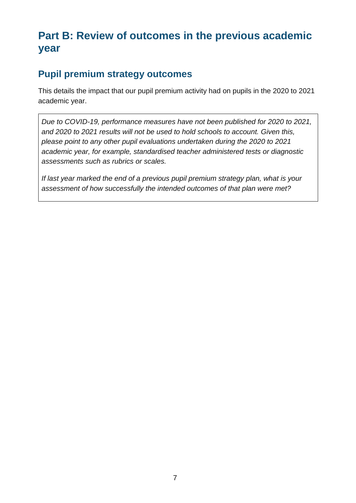# **Part B: Review of outcomes in the previous academic year**

## **Pupil premium strategy outcomes**

This details the impact that our pupil premium activity had on pupils in the 2020 to 2021 academic year.

*Due to COVID-19, performance measures have not been published for 2020 to 2021, and 2020 to 2021 results will not be used to hold schools to account. Given this, please point to any other pupil evaluations undertaken during the 2020 to 2021 academic year, for example, standardised teacher administered tests or diagnostic assessments such as rubrics or scales.*

*If last year marked the end of a previous pupil premium strategy plan, what is your assessment of how successfully the intended outcomes of that plan were met?*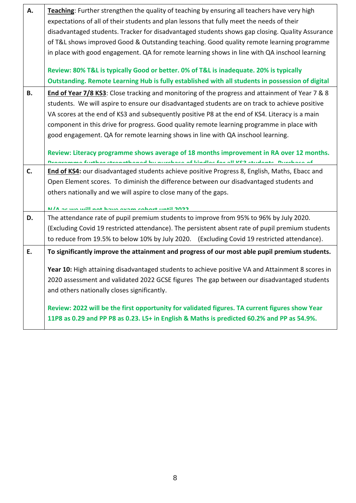| А.        | Teaching: Further strengthen the quality of teaching by ensuring all teachers have very high     |  |  |
|-----------|--------------------------------------------------------------------------------------------------|--|--|
|           | expectations of all of their students and plan lessons that fully meet the needs of their        |  |  |
|           | disadvantaged students. Tracker for disadvantaged students shows gap closing. Quality Assurance  |  |  |
|           | of T&L shows improved Good & Outstanding teaching. Good quality remote learning programme        |  |  |
|           | in place with good engagement. QA for remote learning shows in line with QA inschool learning    |  |  |
|           | Review: 80% T&L is typically Good or better. 0% of T&L is inadequate. 20% is typically           |  |  |
|           | Outstanding. Remote Learning Hub is fully established with all students in possession of digital |  |  |
|           |                                                                                                  |  |  |
| <b>B.</b> | End of Year 7/8 KS3: Close tracking and monitoring of the progress and attainment of Year 7 & 8  |  |  |
|           | students. We will aspire to ensure our disadvantaged students are on track to achieve positive   |  |  |
|           | VA scores at the end of KS3 and subsequently positive P8 at the end of KS4. Literacy is a main   |  |  |
|           | component in this drive for progress. Good quality remote learning programme in place with       |  |  |
|           | good engagement. QA for remote learning shows in line with QA inschool learning.                 |  |  |
|           | Review: Literacy programme shows average of 18 months improvement in RA over 12 months.          |  |  |
|           | Denovemento ficeblos obenanticonal incorresponse of biadlos for all ICO obidante. Disebana of    |  |  |
| C.        | End of KS4: our disadvantaged students achieve positive Progress 8, English, Maths, Ebacc and    |  |  |
|           | Open Element scores. To diminish the difference between our disadvantaged students and           |  |  |
|           | others nationally and we will aspire to close many of the gaps.                                  |  |  |
|           | 1000 اللوياء المطمع ومصادم وبيضا المعا الثبير ويبروه والو                                        |  |  |
| D.        | The attendance rate of pupil premium students to improve from 95% to 96% by July 2020.           |  |  |
|           | (Excluding Covid 19 restricted attendance). The persistent absent rate of pupil premium students |  |  |
|           | to reduce from 19.5% to below 10% by July 2020. (Excluding Covid 19 restricted attendance).      |  |  |
|           |                                                                                                  |  |  |
| Ε.        | To significantly improve the attainment and progress of our most able pupil premium students.    |  |  |
|           | Year 10: High attaining disadvantaged students to achieve positive VA and Attainment 8 scores in |  |  |
|           | 2020 assessment and validated 2022 GCSE figures The gap between our disadvantaged students       |  |  |
|           | and others nationally closes significantly.                                                      |  |  |
|           | Review: 2022 will be the first opportunity for validated figures. TA current figures show Year   |  |  |
|           | 11P8 as 0.29 and PP P8 as 0.23. L5+ in English & Maths is predicted 60.2% and PP as 54.9%.       |  |  |
|           |                                                                                                  |  |  |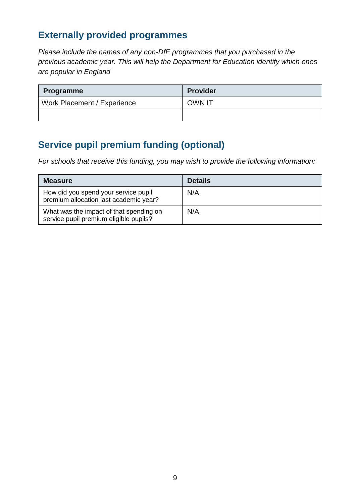#### **Externally provided programmes**

*Please include the names of any non-DfE programmes that you purchased in the previous academic year. This will help the Department for Education identify which ones are popular in England*

| <b>Programme</b>            | <b>Provider</b> |
|-----------------------------|-----------------|
| Work Placement / Experience | <b>OWN IT</b>   |
|                             |                 |

## **Service pupil premium funding (optional)**

*For schools that receive this funding, you may wish to provide the following information:* 

| <b>Measure</b>                                                                    | <b>Details</b> |
|-----------------------------------------------------------------------------------|----------------|
| How did you spend your service pupil<br>premium allocation last academic year?    | N/A            |
| What was the impact of that spending on<br>service pupil premium eligible pupils? | N/A            |